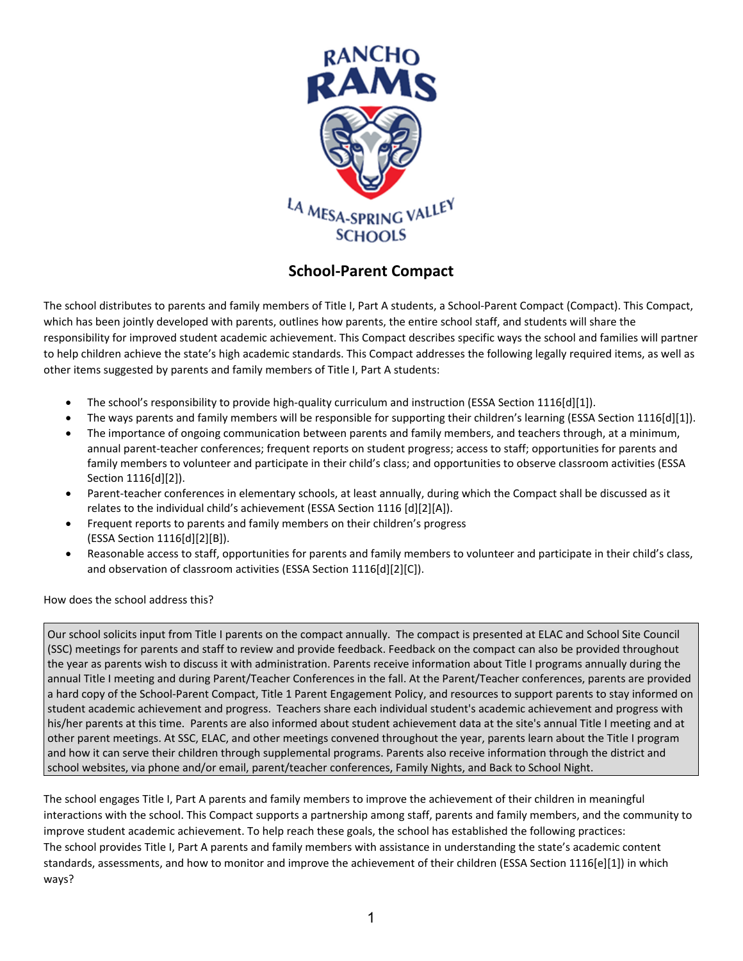

## **School-Parent Compact**

The school distributes to parents and family members of Title I, Part A students, a School-Parent Compact (Compact). This Compact, which has been jointly developed with parents, outlines how parents, the entire school staff, and students will share the responsibility for improved student academic achievement. This Compact describes specific ways the school and families will partner to help children achieve the state's high academic standards. This Compact addresses the following legally required items, as well as other items suggested by parents and family members of Title I, Part A students:

- The school's responsibility to provide high-quality curriculum and instruction (ESSA Section 1116[d][1]).
- The ways parents and family members will be responsible for supporting their children's learning (ESSA Section 1116[d][1]).
- The importance of ongoing communication between parents and family members, and teachers through, at a minimum, annual parent-teacher conferences; frequent reports on student progress; access to staff; opportunities for parents and family members to volunteer and participate in their child's class; and opportunities to observe classroom activities (ESSA Section 1116[d][2]).
- Parent-teacher conferences in elementary schools, at least annually, during which the Compact shall be discussed as it relates to the individual child's achievement (ESSA Section 1116 [d][2][A]).
- Frequent reports to parents and family members on their children's progress (ESSA Section 1116[d][2][B]).
- Reasonable access to staff, opportunities for parents and family members to volunteer and participate in their child's class, and observation of classroom activities (ESSA Section 1116[d][2][C]).

How does the school address this?

Our school solicits input from Title I parents on the compact annually. The compact is presented at ELAC and School Site Council (SSC) meetings for parents and staff to review and provide feedback. Feedback on the compact can also be provided throughout the year as parents wish to discuss it with administration. Parents receive information about Title I programs annually during the annual Title I meeting and during Parent/Teacher Conferences in the fall. At the Parent/Teacher conferences, parents are provided a hard copy of the School-Parent Compact, Title 1 Parent Engagement Policy, and resources to support parents to stay informed on student academic achievement and progress. Teachers share each individual student's academic achievement and progress with his/her parents at this time. Parents are also informed about student achievement data at the site's annual Title I meeting and at other parent meetings. At SSC, ELAC, and other meetings convened throughout the year, parents learn about the Title I program and how it can serve their children through supplemental programs. Parents also receive information through the district and school websites, via phone and/or email, parent/teacher conferences, Family Nights, and Back to School Night.

The school engages Title I, Part A parents and family members to improve the achievement of their children in meaningful interactions with the school. This Compact supports a partnership among staff, parents and family members, and the community to improve student academic achievement. To help reach these goals, the school has established the following practices: The school provides Title I, Part A parents and family members with assistance in understanding the state's academic content standards, assessments, and how to monitor and improve the achievement of their children (ESSA Section 1116[e][1]) in which ways?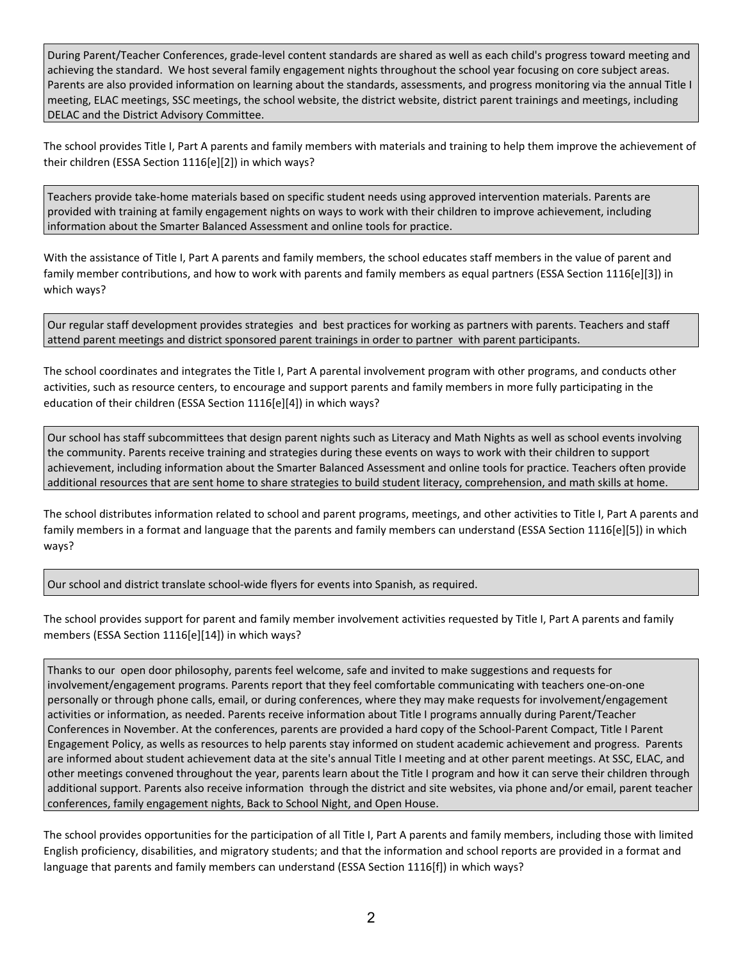During Parent/Teacher Conferences, grade-level content standards are shared as well as each child's progress toward meeting and achieving the standard. We host several family engagement nights throughout the school year focusing on core subject areas. Parents are also provided information on learning about the standards, assessments, and progress monitoring via the annual Title I meeting, ELAC meetings, SSC meetings, the school website, the district website, district parent trainings and meetings, including DELAC and the District Advisory Committee.

The school provides Title I, Part A parents and family members with materials and training to help them improve the achievement of their children (ESSA Section 1116[e][2]) in which ways?

Teachers provide take-home materials based on specific student needs using approved intervention materials. Parents are provided with training at family engagement nights on ways to work with their children to improve achievement, including information about the Smarter Balanced Assessment and online tools for practice.

With the assistance of Title I, Part A parents and family members, the school educates staff members in the value of parent and family member contributions, and how to work with parents and family members as equal partners (ESSA Section 1116[e][3]) in which ways?

Our regular staff development provides strategies and best practices for working as partners with parents. Teachers and staff attend parent meetings and district sponsored parent trainings in order to partner with parent participants.

The school coordinates and integrates the Title I, Part A parental involvement program with other programs, and conducts other activities, such as resource centers, to encourage and support parents and family members in more fully participating in the education of their children (ESSA Section 1116[e][4]) in which ways?

Our school has staff subcommittees that design parent nights such as Literacy and Math Nights as well as school events involving the community. Parents receive training and strategies during these events on ways to work with their children to support achievement, including information about the Smarter Balanced Assessment and online tools for practice. Teachers often provide additional resources that are sent home to share strategies to build student literacy, comprehension, and math skills at home.

The school distributes information related to school and parent programs, meetings, and other activities to Title I, Part A parents and family members in a format and language that the parents and family members can understand (ESSA Section 1116[e][5]) in which ways?

Our school and district translate school-wide flyers for events into Spanish, as required.

The school provides support for parent and family member involvement activities requested by Title I, Part A parents and family members (ESSA Section 1116[e][14]) in which ways?

Thanks to our open door philosophy, parents feel welcome, safe and invited to make suggestions and requests for involvement/engagement programs. Parents report that they feel comfortable communicating with teachers one-on-one personally or through phone calls, email, or during conferences, where they may make requests for involvement/engagement activities or information, as needed. Parents receive information about Title I programs annually during Parent/Teacher Conferences in November. At the conferences, parents are provided a hard copy of the School-Parent Compact, Title I Parent Engagement Policy, as wells as resources to help parents stay informed on student academic achievement and progress. Parents are informed about student achievement data at the site's annual Title I meeting and at other parent meetings. At SSC, ELAC, and other meetings convened throughout the year, parents learn about the Title I program and how it can serve their children through additional support. Parents also receive information through the district and site websites, via phone and/or email, parent teacher conferences, family engagement nights, Back to School Night, and Open House.

The school provides opportunities for the participation of all Title I, Part A parents and family members, including those with limited English proficiency, disabilities, and migratory students; and that the information and school reports are provided in a format and language that parents and family members can understand (ESSA Section 1116[f]) in which ways?